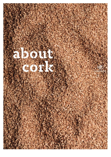